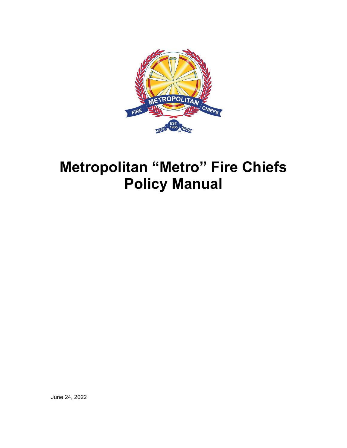

# **Metropolitan "Metro" Fire Chiefs Policy Manual**

June 24, 2022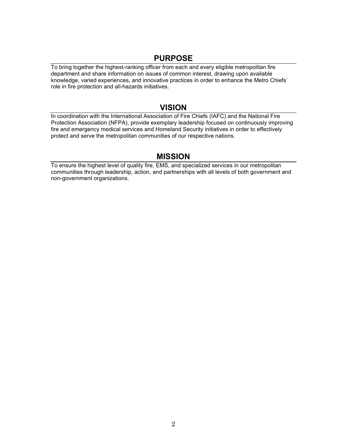# **PURPOSE**

To bring together the highest-ranking officer from each and every eligible metropolitan fire department and share information on issues of common interest, drawing upon available knowledge, varied experiences, and innovative practices in order to enhance the Metro Chiefs' role in fire protection and all-hazards initiatives.

# **VISION**

In coordination with the International Association of Fire Chiefs (IAFC) and the National Fire Protection Association (NFPA), provide exemplary leadership focused on continuously improving fire and emergency medical services and Homeland Security initiatives in order to effectively protect and serve the metropolitan communities of our respective nations.

# **MISSION**

To ensure the highest level of quality fire, EMS, and specialized services in our metropolitan communities through leadership, action, and partnerships with all levels of both government and non-government organizations.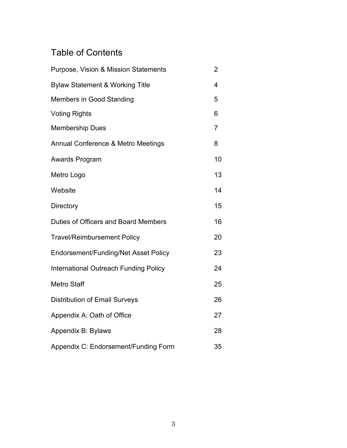# Table of Contents

| Purpose, Vision & Mission Statements          | 2              |
|-----------------------------------------------|----------------|
| <b>Bylaw Statement &amp; Working Title</b>    | 4              |
| <b>Members in Good Standing</b>               | 5              |
| <b>Voting Rights</b>                          | 6              |
| <b>Membership Dues</b>                        | $\overline{7}$ |
| <b>Annual Conference &amp; Metro Meetings</b> | 8              |
| Awards Program                                | 10             |
| Metro Logo                                    | 13             |
| Website                                       | 14             |
| Directory                                     | 15             |
| Duties of Officers and Board Members          | 16             |
| <b>Travel/Reimbursement Policy</b>            | 20             |
| Endorsement/Funding/Net Asset Policy          | 23             |
| International Outreach Funding Policy         | 24             |
| <b>Metro Staff</b>                            | 25             |
| <b>Distribution of Email Surveys</b>          | 26             |
| Appendix A: Oath of Office                    | 27             |
| Appendix B: Bylaws                            | 28             |
| Appendix C: Endorsement/Funding Form          | 35             |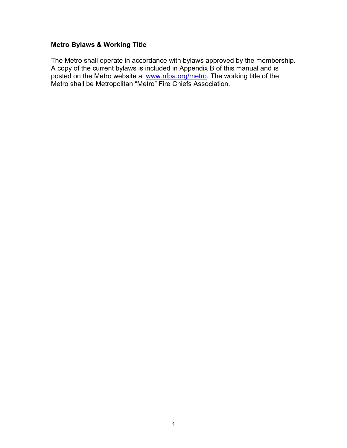# **Metro Bylaws & Working Title**

The Metro shall operate in accordance with bylaws approved by the membership. A copy of the current bylaws is included in Appendix B of this manual and is posted on the Metro website at [www.nfpa.org/metro.](http://www.nfpa.org/metro) The working title of the Metro shall be Metropolitan "Metro" Fire Chiefs Association.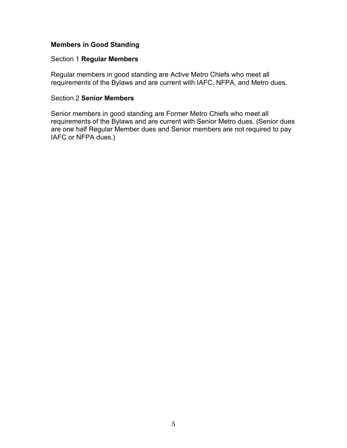# **Members in Good Standing**

#### Section 1 **Regular Members**

Regular members in good standing are Active Metro Chiefs who meet all requirements of the Bylaws and are current with IAFC, NFPA, and Metro dues.

#### Section 2 **Senior Members**

Senior members in good standing are Former Metro Chiefs who meet all requirements of the Bylaws and are current with Senior Metro dues. (Senior dues are one half Regular Member dues and Senior members are not required to pay IAFC or NFPA dues.)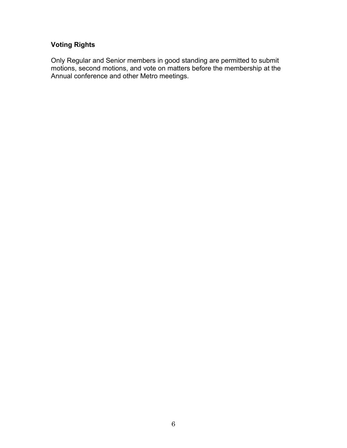# **Voting Rights**

Only Regular and Senior members in good standing are permitted to submit motions, second motions, and vote on matters before the membership at the Annual conference and other Metro meetings.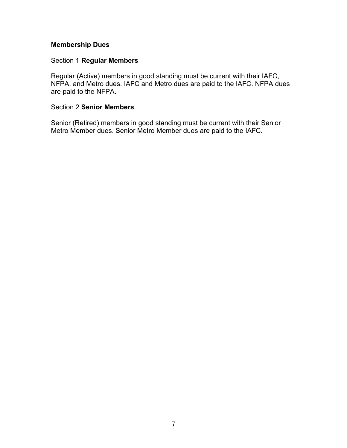# **Membership Dues**

# Section 1 **Regular Members**

Regular (Active) members in good standing must be current with their IAFC, NFPA, and Metro dues. IAFC and Metro dues are paid to the IAFC. NFPA dues are paid to the NFPA.

#### Section 2 **Senior Members**

Senior (Retired) members in good standing must be current with their Senior Metro Member dues. Senior Metro Member dues are paid to the IAFC.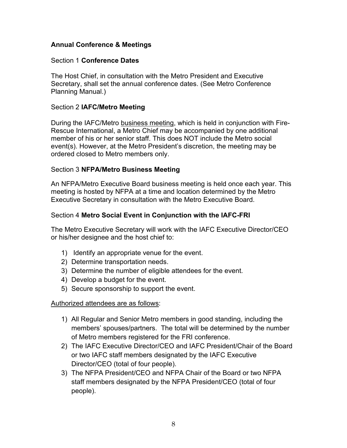# **Annual Conference & Meetings**

#### Section 1 **Conference Dates**

The Host Chief, in consultation with the Metro President and Executive Secretary, shall set the annual conference dates. (See Metro Conference Planning Manual.)

#### Section 2 **IAFC/Metro Meeting**

During the IAFC/Metro business meeting, which is held in conjunction with Fire-Rescue International, a Metro Chief may be accompanied by one additional member of his or her senior staff. This does NOT include the Metro social event(s). However, at the Metro President's discretion, the meeting may be ordered closed to Metro members only.

#### Section 3 **NFPA/Metro Business Meeting**

An NFPA/Metro Executive Board business meeting is held once each year. This meeting is hosted by NFPA at a time and location determined by the Metro Executive Secretary in consultation with the Metro Executive Board.

# Section 4 **Metro Social Event in Conjunction with the IAFC-FRI**

The Metro Executive Secretary will work with the IAFC Executive Director/CEO or his/her designee and the host chief to:

- 1) Identify an appropriate venue for the event.
- 2) Determine transportation needs.
- 3) Determine the number of eligible attendees for the event.
- 4) Develop a budget for the event.
- 5) Secure sponsorship to support the event.

Authorized attendees are as follows:

- 1) All Regular and Senior Metro members in good standing, including the members' spouses/partners. The total will be determined by the number of Metro members registered for the FRI conference.
- 2) The IAFC Executive Director/CEO and IAFC President/Chair of the Board or two IAFC staff members designated by the IAFC Executive Director/CEO (total of four people).
- 3) The NFPA President/CEO and NFPA Chair of the Board or two NFPA staff members designated by the NFPA President/CEO (total of four people).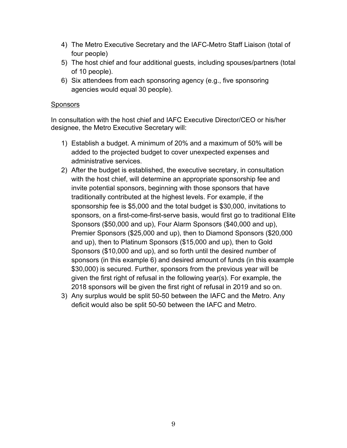- 4) The Metro Executive Secretary and the IAFC-Metro Staff Liaison (total of four people)
- 5) The host chief and four additional guests, including spouses/partners (total of 10 people).
- 6) Six attendees from each sponsoring agency (e.g., five sponsoring agencies would equal 30 people).

# **Sponsors**

In consultation with the host chief and IAFC Executive Director/CEO or his/her designee, the Metro Executive Secretary will:

- 1) Establish a budget. A minimum of 20% and a maximum of 50% will be added to the projected budget to cover unexpected expenses and administrative services.
- 2) After the budget is established, the executive secretary, in consultation with the host chief, will determine an appropriate sponsorship fee and invite potential sponsors, beginning with those sponsors that have traditionally contributed at the highest levels. For example, if the sponsorship fee is \$5,000 and the total budget is \$30,000, invitations to sponsors, on a first-come-first-serve basis, would first go to traditional Elite Sponsors (\$50,000 and up), Four Alarm Sponsors (\$40,000 and up), Premier Sponsors (\$25,000 and up), then to Diamond Sponsors (\$20,000 and up), then to Platinum Sponsors (\$15,000 and up), then to Gold Sponsors (\$10,000 and up), and so forth until the desired number of sponsors (in this example 6) and desired amount of funds (in this example \$30,000) is secured. Further, sponsors from the previous year will be given the first right of refusal in the following year(s). For example, the 2018 sponsors will be given the first right of refusal in 2019 and so on.
- 3) Any surplus would be split 50-50 between the IAFC and the Metro. Any deficit would also be split 50-50 between the IAFC and Metro.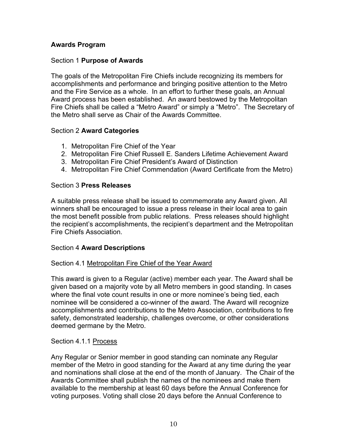# **Awards Program**

## Section 1 **Purpose of Awards**

The goals of the Metropolitan Fire Chiefs include recognizing its members for accomplishments and performance and bringing positive attention to the Metro and the Fire Service as a whole. In an effort to further these goals, an Annual Award process has been established. An award bestowed by the Metropolitan Fire Chiefs shall be called a "Metro Award" or simply a "Metro". The Secretary of the Metro shall serve as Chair of the Awards Committee.

#### Section 2 **Award Categories**

- 1. Metropolitan Fire Chief of the Year
- 2. Metropolitan Fire Chief Russell E. Sanders Lifetime Achievement Award
- 3. Metropolitan Fire Chief President's Award of Distinction
- 4. Metropolitan Fire Chief Commendation (Award Certificate from the Metro)

#### Section 3 **Press Releases**

A suitable press release shall be issued to commemorate any Award given. All winners shall be encouraged to issue a press release in their local area to gain the most benefit possible from public relations. Press releases should highlight the recipient's accomplishments, the recipient's department and the Metropolitan Fire Chiefs Association.

#### Section 4 **Award Descriptions**

#### Section 4.1 Metropolitan Fire Chief of the Year Award

This award is given to a Regular (active) member each year. The Award shall be given based on a majority vote by all Metro members in good standing. In cases where the final vote count results in one or more nominee's being tied, each nominee will be considered a co-winner of the award. The Award will recognize accomplishments and contributions to the Metro Association, contributions to fire safety, demonstrated leadership, challenges overcome, or other considerations deemed germane by the Metro.

#### Section 4.1.1 Process

Any Regular or Senior member in good standing can nominate any Regular member of the Metro in good standing for the Award at any time during the year and nominations shall close at the end of the month of January. The Chair of the Awards Committee shall publish the names of the nominees and make them available to the membership at least 60 days before the Annual Conference for voting purposes. Voting shall close 20 days before the Annual Conference to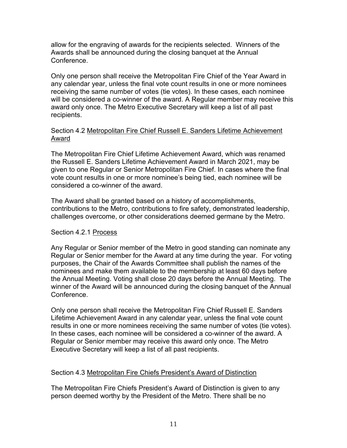allow for the engraving of awards for the recipients selected. Winners of the Awards shall be announced during the closing banquet at the Annual Conference.

Only one person shall receive the Metropolitan Fire Chief of the Year Award in any calendar year, unless the final vote count results in one or more nominees receiving the same number of votes (tie votes). In these cases, each nominee will be considered a co-winner of the award. A Regular member may receive this award only once. The Metro Executive Secretary will keep a list of all past recipients.

# Section 4.2 Metropolitan Fire Chief Russell E. Sanders Lifetime Achievement Award

The Metropolitan Fire Chief Lifetime Achievement Award, which was renamed the Russell E. Sanders Lifetime Achievement Award in March 2021, may be given to one Regular or Senior Metropolitan Fire Chief. In cases where the final vote count results in one or more nominee's being tied, each nominee will be considered a co-winner of the award.

The Award shall be granted based on a history of accomplishments, contributions to the Metro, contributions to fire safety, demonstrated leadership, challenges overcome, or other considerations deemed germane by the Metro.

# Section 4.2.1 Process

Any Regular or Senior member of the Metro in good standing can nominate any Regular or Senior member for the Award at any time during the year. For voting purposes, the Chair of the Awards Committee shall publish the names of the nominees and make them available to the membership at least 60 days before the Annual Meeting. Voting shall close 20 days before the Annual Meeting. The winner of the Award will be announced during the closing banquet of the Annual Conference.

Only one person shall receive the Metropolitan Fire Chief Russell E. Sanders Lifetime Achievement Award in any calendar year, unless the final vote count results in one or more nominees receiving the same number of votes (tie votes). In these cases, each nominee will be considered a co-winner of the award. A Regular or Senior member may receive this award only once. The Metro Executive Secretary will keep a list of all past recipients.

# Section 4.3 Metropolitan Fire Chiefs President's Award of Distinction

The Metropolitan Fire Chiefs President's Award of Distinction is given to any person deemed worthy by the President of the Metro. There shall be no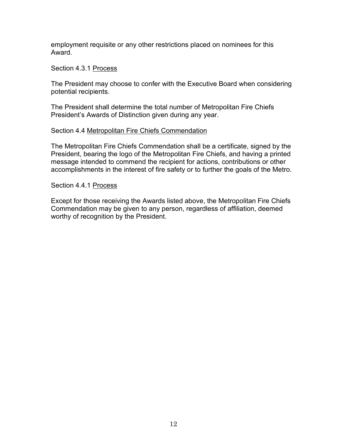employment requisite or any other restrictions placed on nominees for this Award.

#### Section 4.3.1 Process

The President may choose to confer with the Executive Board when considering potential recipients.

The President shall determine the total number of Metropolitan Fire Chiefs President's Awards of Distinction given during any year.

#### Section 4.4 Metropolitan Fire Chiefs Commendation

The Metropolitan Fire Chiefs Commendation shall be a certificate, signed by the President, bearing the logo of the Metropolitan Fire Chiefs, and having a printed message intended to commend the recipient for actions, contributions or other accomplishments in the interest of fire safety or to further the goals of the Metro.

#### Section 4.4.1 Process

Except for those receiving the Awards listed above, the Metropolitan Fire Chiefs Commendation may be given to any person, regardless of affiliation, deemed worthy of recognition by the President.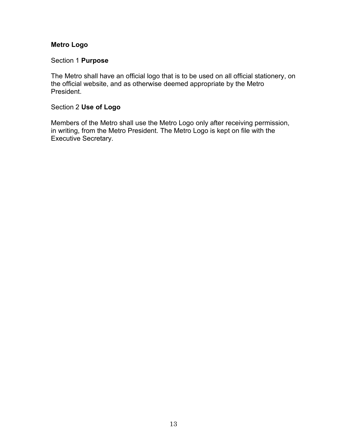# **Metro Logo**

# Section 1 **Purpose**

The Metro shall have an official logo that is to be used on all official stationery, on the official website, and as otherwise deemed appropriate by the Metro President.

# Section 2 **Use of Logo**

Members of the Metro shall use the Metro Logo only after receiving permission, in writing, from the Metro President. The Metro Logo is kept on file with the Executive Secretary.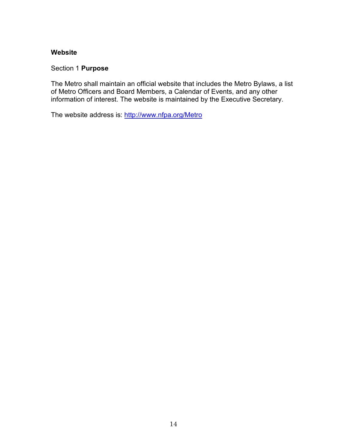## **Website**

#### Section 1 **Purpose**

The Metro shall maintain an official website that includes the Metro Bylaws, a list of Metro Officers and Board Members, a Calendar of Events, and any other information of interest. The website is maintained by the Executive Secretary.

The website address is:<http://www.nfpa.org/Metro>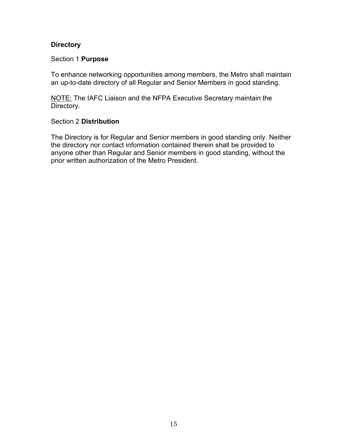# **Directory**

#### Section 1 **Purpose**

To enhance networking opportunities among members, the Metro shall maintain an up-to-date directory of all Regular and Senior Members in good standing.

NOTE: The IAFC Liaison and the NFPA Executive Secretary maintain the Directory.

#### Section 2 **Distribution**

The Directory is for Regular and Senior members in good standing only. Neither the directory nor contact information contained therein shall be provided to anyone other than Regular and Senior members in good standing, without the prior written authorization of the Metro President.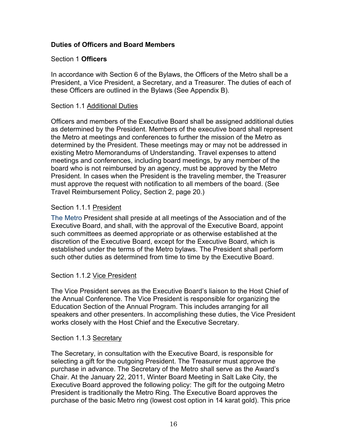# **Duties of Officers and Board Members**

#### Section 1 **Officers**

In accordance with Section 6 of the Bylaws, the Officers of the Metro shall be a President, a Vice President, a Secretary, and a Treasurer. The duties of each of these Officers are outlined in the Bylaws (See Appendix B).

#### Section 1.1 Additional Duties

Officers and members of the Executive Board shall be assigned additional duties as determined by the President. Members of the executive board shall represent the Metro at meetings and conferences to further the mission of the Metro as determined by the President. These meetings may or may not be addressed in existing Metro Memorandums of Understanding. Travel expenses to attend meetings and conferences, including board meetings, by any member of the board who is not reimbursed by an agency, must be approved by the Metro President. In cases when the President is the traveling member, the Treasurer must approve the request with notification to all members of the board. (See Travel Reimbursement Policy, Section 2, page 20.)

#### Section 1.1.1 President

The Metro President shall preside at all meetings of the Association and of the Executive Board, and shall, with the approval of the Executive Board, appoint such committees as deemed appropriate or as otherwise established at the discretion of the Executive Board, except for the Executive Board, which is established under the terms of the Metro bylaws. The President shall perform such other duties as determined from time to time by the Executive Board.

#### Section 1.1.2 Vice President

The Vice President serves as the Executive Board's liaison to the Host Chief of the Annual Conference. The Vice President is responsible for organizing the Education Section of the Annual Program. This includes arranging for all speakers and other presenters. In accomplishing these duties, the Vice President works closely with the Host Chief and the Executive Secretary.

#### Section 1.1.3 Secretary

The Secretary, in consultation with the Executive Board, is responsible for selecting a gift for the outgoing President. The Treasurer must approve the purchase in advance. The Secretary of the Metro shall serve as the Award's Chair. At the January 22, 2011, Winter Board Meeting in Salt Lake City, the Executive Board approved the following policy: The gift for the outgoing Metro President is traditionally the Metro Ring. The Executive Board approves the purchase of the basic Metro ring (lowest cost option in 14 karat gold). This price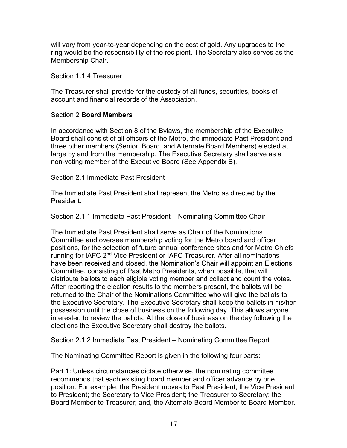will vary from year-to-year depending on the cost of gold. Any upgrades to the ring would be the responsibility of the recipient. The Secretary also serves as the Membership Chair.

## Section 1.1.4 Treasurer

The Treasurer shall provide for the custody of all funds, securities, books of account and financial records of the Association.

# Section 2 **Board Members**

In accordance with Section 8 of the Bylaws, the membership of the Executive Board shall consist of all officers of the Metro, the immediate Past President and three other members (Senior, Board, and Alternate Board Members) elected at large by and from the membership. The Executive Secretary shall serve as a non-voting member of the Executive Board (See Appendix B).

# Section 2.1 Immediate Past President

The Immediate Past President shall represent the Metro as directed by the President.

# Section 2.1.1 Immediate Past President – Nominating Committee Chair

The Immediate Past President shall serve as Chair of the Nominations Committee and oversee membership voting for the Metro board and officer positions, for the selection of future annual conference sites and for Metro Chiefs running for IAFC 2<sup>nd</sup> Vice President or IAFC Treasurer. After all nominations have been received and closed, the Nomination's Chair will appoint an Elections Committee, consisting of Past Metro Presidents, when possible, that will distribute ballots to each eligible voting member and collect and count the votes. After reporting the election results to the members present, the ballots will be returned to the Chair of the Nominations Committee who will give the ballots to the Executive Secretary. The Executive Secretary shall keep the ballots in his/her possession until the close of business on the following day. This allows anyone interested to review the ballots. At the close of business on the day following the elections the Executive Secretary shall destroy the ballots.

# Section 2.1.2 Immediate Past President – Nominating Committee Report

The Nominating Committee Report is given in the following four parts:

Part 1: Unless circumstances dictate otherwise, the nominating committee recommends that each existing board member and officer advance by one position. For example, the President moves to Past President; the Vice President to President; the Secretary to Vice President; the Treasurer to Secretary; the Board Member to Treasurer; and, the Alternate Board Member to Board Member.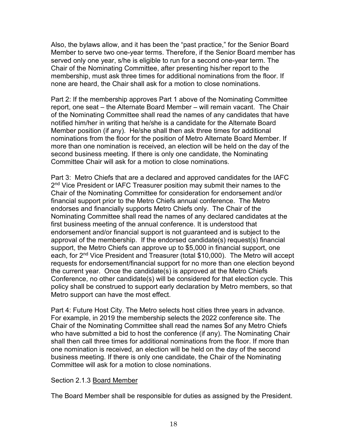Also, the bylaws allow, and it has been the "past practice," for the Senior Board Member to serve two one-year terms. Therefore, if the Senior Board member has served only one year, s/he is eligible to run for a second one-year term. The Chair of the Nominating Committee, after presenting his/her report to the membership, must ask three times for additional nominations from the floor. If none are heard, the Chair shall ask for a motion to close nominations.

Part 2: If the membership approves Part 1 above of the Nominating Committee report, one seat – the Alternate Board Member – will remain vacant. The Chair of the Nominating Committee shall read the names of any candidates that have notified him/her in writing that he/she is a candidate for the Alternate Board Member position (if any). He/she shall then ask three times for additional nominations from the floor for the position of Metro Alternate Board Member. If more than one nomination is received, an election will be held on the day of the second business meeting. If there is only one candidate, the Nominating Committee Chair will ask for a motion to close nominations.

Part 3: Metro Chiefs that are a declared and approved candidates for the IAFC 2<sup>nd</sup> Vice President or IAFC Treasurer position may submit their names to the Chair of the Nominating Committee for consideration for endorsement and/or financial support prior to the Metro Chiefs annual conference. The Metro endorses and financially supports Metro Chiefs only. The Chair of the Nominating Committee shall read the names of any declared candidates at the first business meeting of the annual conference. It is understood that endorsement and/or financial support is not guaranteed and is subject to the approval of the membership. If the endorsed candidate(s) request(s) financial support, the Metro Chiefs can approve up to \$5,000 in financial support, one each, for 2<sup>nd</sup> Vice President and Treasurer (total \$10,000). The Metro will accept requests for endorsement/financial support for no more than one election beyond the current year. Once the candidate(s) is approved at the Metro Chiefs Conference, no other candidate(s) will be considered for that election cycle. This policy shall be construed to support early declaration by Metro members, so that Metro support can have the most effect.

Part 4: Future Host City. The Metro selects host cities three years in advance. For example, in 2019 the membership selects the 2022 conference site. The Chair of the Nominating Committee shall read the names \$of any Metro Chiefs who have submitted a bid to host the conference (if any). The Nominating Chair shall then call three times for additional nominations from the floor. If more than one nomination is received, an election will be held on the day of the second business meeting. If there is only one candidate, the Chair of the Nominating Committee will ask for a motion to close nominations.

#### Section 2.1.3 Board Member

The Board Member shall be responsible for duties as assigned by the President.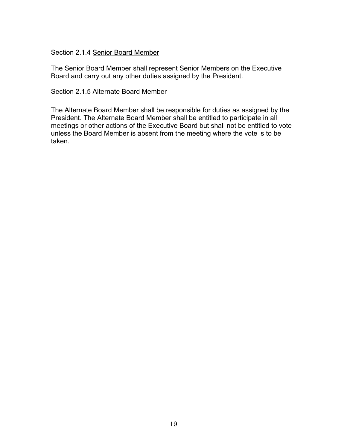# Section 2.1.4 Senior Board Member

The Senior Board Member shall represent Senior Members on the Executive Board and carry out any other duties assigned by the President.

#### Section 2.1.5 Alternate Board Member

The Alternate Board Member shall be responsible for duties as assigned by the President. The Alternate Board Member shall be entitled to participate in all meetings or other actions of the Executive Board but shall not be entitled to vote unless the Board Member is absent from the meeting where the vote is to be taken.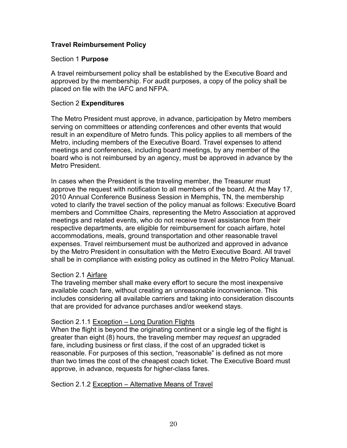# **Travel Reimbursement Policy**

#### Section 1 **Purpose**

A travel reimbursement policy shall be established by the Executive Board and approved by the membership. For audit purposes, a copy of the policy shall be placed on file with the IAFC and NFPA.

#### Section 2 **Expenditures**

The Metro President must approve, in advance, participation by Metro members serving on committees or attending conferences and other events that would result in an expenditure of Metro funds. This policy applies to all members of the Metro, including members of the Executive Board. Travel expenses to attend meetings and conferences, including board meetings, by any member of the board who is not reimbursed by an agency, must be approved in advance by the Metro President.

In cases when the President is the traveling member, the Treasurer must approve the request with notification to all members of the board. At the May 17, 2010 Annual Conference Business Session in Memphis, TN, the membership voted to clarify the travel section of the policy manual as follows: Executive Board members and Committee Chairs, representing the Metro Association at approved meetings and related events, who do not receive travel assistance from their respective departments, are eligible for reimbursement for coach airfare, hotel accommodations, meals, ground transportation and other reasonable travel expenses. Travel reimbursement must be authorized and approved in advance by the Metro President in consultation with the Metro Executive Board. All travel shall be in compliance with existing policy as outlined in the Metro Policy Manual.

#### Section 2.1 Airfare

The traveling member shall make every effort to secure the most inexpensive available coach fare, without creating an unreasonable inconvenience. This includes considering all available carriers and taking into consideration discounts that are provided for advance purchases and/or weekend stays.

#### Section 2.1.1 Exception – Long Duration Flights

When the flight is beyond the originating continent or a single leg of the flight is greater than eight (8) hours, the traveling member may *request* an upgraded fare, including business or first class, if the cost of an upgraded ticket is reasonable. For purposes of this section, "reasonable" is defined as not more than two times the cost of the cheapest coach ticket. The Executive Board must approve, in advance, requests for higher-class fares.

#### Section 2.1.2 Exception – Alternative Means of Travel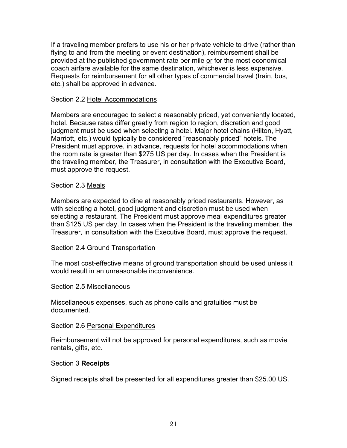If a traveling member prefers to use his or her private vehicle to drive (rather than flying to and from the meeting or event destination), reimbursement shall be provided at the published government rate per mile or for the most economical coach airfare available for the same destination, whichever is less expensive. Requests for reimbursement for all other types of commercial travel (train, bus, etc.) shall be approved in advance.

#### Section 2.2 Hotel Accommodations

Members are encouraged to select a reasonably priced, yet conveniently located, hotel. Because rates differ greatly from region to region, discretion and good judgment must be used when selecting a hotel. Major hotel chains (Hilton, Hyatt, Marriott, etc.) would typically be considered "reasonably priced" hotels. The President must approve, in advance, requests for hotel accommodations when the room rate is greater than \$275 US per day. In cases when the President is the traveling member, the Treasurer, in consultation with the Executive Board, must approve the request.

#### Section 2.3 Meals

Members are expected to dine at reasonably priced restaurants. However, as with selecting a hotel, good judgment and discretion must be used when selecting a restaurant. The President must approve meal expenditures greater than \$125 US per day. In cases when the President is the traveling member, the Treasurer, in consultation with the Executive Board, must approve the request.

#### Section 2.4 Ground Transportation

The most cost-effective means of ground transportation should be used unless it would result in an unreasonable inconvenience.

#### Section 2.5 Miscellaneous

Miscellaneous expenses, such as phone calls and gratuities must be documented.

#### Section 2.6 Personal Expenditures

Reimbursement will not be approved for personal expenditures, such as movie rentals, gifts, etc.

#### Section 3 **Receipts**

Signed receipts shall be presented for all expenditures greater than \$25.00 US.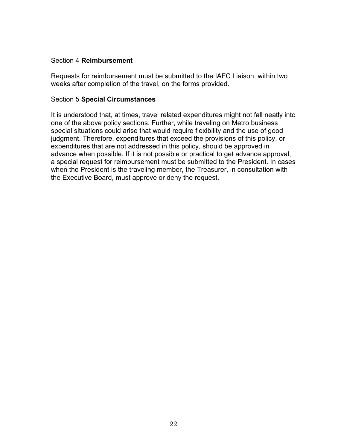#### Section 4 **Reimbursement**

Requests for reimbursement must be submitted to the IAFC Liaison, within two weeks after completion of the travel, on the forms provided.

#### Section 5 **Special Circumstances**

It is understood that, at times, travel related expenditures might not fall neatly into one of the above policy sections. Further, while traveling on Metro business special situations could arise that would require flexibility and the use of good judgment. Therefore, expenditures that exceed the provisions of this policy, or expenditures that are not addressed in this policy, should be approved in advance when possible. If it is not possible or practical to get advance approval, a special request for reimbursement must be submitted to the President. In cases when the President is the traveling member, the Treasurer, in consultation with the Executive Board, must approve or deny the request.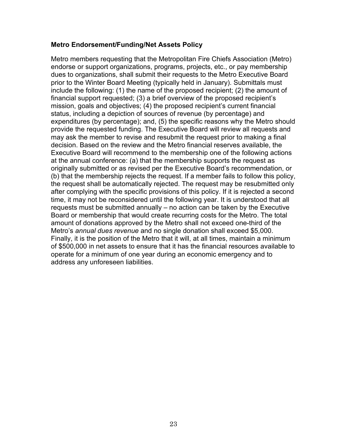#### **Metro Endorsement/Funding/Net Assets Policy**

Metro members requesting that the Metropolitan Fire Chiefs Association (Metro) endorse or support organizations, programs, projects, etc., or pay membership dues to organizations, shall submit their requests to the Metro Executive Board prior to the Winter Board Meeting (typically held in January). Submittals must include the following: (1) the name of the proposed recipient; (2) the amount of financial support requested; (3) a brief overview of the proposed recipient's mission, goals and objectives; (4) the proposed recipient's current financial status, including a depiction of sources of revenue (by percentage) and expenditures (by percentage); and, (5) the specific reasons why the Metro should provide the requested funding. The Executive Board will review all requests and may ask the member to revise and resubmit the request prior to making a final decision. Based on the review and the Metro financial reserves available, the Executive Board will recommend to the membership one of the following actions at the annual conference: (a) that the membership supports the request as originally submitted or as revised per the Executive Board's recommendation, or (b) that the membership rejects the request. If a member fails to follow this policy, the request shall be automatically rejected. The request may be resubmitted only after complying with the specific provisions of this policy. If it is rejected a second time, it may not be reconsidered until the following year. It is understood that all requests must be submitted annually – no action can be taken by the Executive Board or membership that would create recurring costs for the Metro. The total amount of donations approved by the Metro shall not exceed one-third of the Metro's *annual dues revenue* and no single donation shall exceed \$5,000. Finally, it is the position of the Metro that it will, at all times, maintain a minimum of \$500,000 in net assets to ensure that it has the financial resources available to operate for a minimum of one year during an economic emergency and to address any unforeseen liabilities.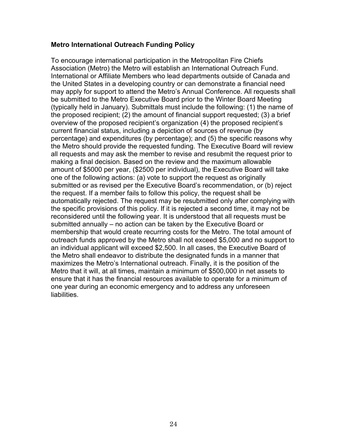#### **Metro International Outreach Funding Policy**

To encourage international participation in the Metropolitan Fire Chiefs Association (Metro) the Metro will establish an International Outreach Fund. International or Affiliate Members who lead departments outside of Canada and the United States in a developing country or can demonstrate a financial need may apply for support to attend the Metro's Annual Conference. All requests shall be submitted to the Metro Executive Board prior to the Winter Board Meeting (typically held in January). Submittals must include the following: (1) the name of the proposed recipient; (2) the amount of financial support requested; (3) a brief overview of the proposed recipient's organization (4) the proposed recipient's current financial status, including a depiction of sources of revenue (by percentage) and expenditures (by percentage); and (5) the specific reasons why the Metro should provide the requested funding. The Executive Board will review all requests and may ask the member to revise and resubmit the request prior to making a final decision. Based on the review and the maximum allowable amount of \$5000 per year, (\$2500 per individual), the Executive Board will take one of the following actions: (a) vote to support the request as originally submitted or as revised per the Executive Board's recommendation, or (b) reject the request. If a member fails to follow this policy, the request shall be automatically rejected. The request may be resubmitted only after complying with the specific provisions of this policy. If it is rejected a second time, it may not be reconsidered until the following year. It is understood that all requests must be submitted annually – no action can be taken by the Executive Board or membership that would create recurring costs for the Metro. The total amount of outreach funds approved by the Metro shall not exceed \$5,000 and no support to an individual applicant will exceed \$2,500. In all cases, the Executive Board of the Metro shall endeavor to distribute the designated funds in a manner that maximizes the Metro's International outreach. Finally, it is the position of the Metro that it will, at all times, maintain a minimum of \$500,000 in net assets to ensure that it has the financial resources available to operate for a minimum of one year during an economic emergency and to address any unforeseen liabilities.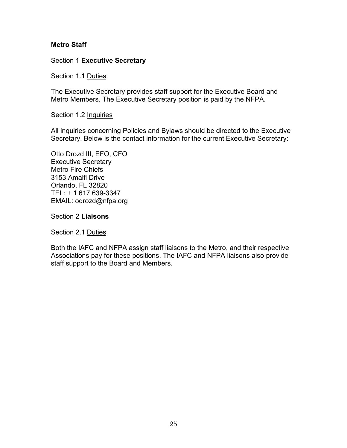## **Metro Staff**

## Section 1 **Executive Secretary**

Section 1.1 Duties

The Executive Secretary provides staff support for the Executive Board and Metro Members. The Executive Secretary position is paid by the NFPA.

Section 1.2 Inquiries

All inquiries concerning Policies and Bylaws should be directed to the Executive Secretary. Below is the contact information for the current Executive Secretary:

Otto Drozd III, EFO, CFO Executive Secretary Metro Fire Chiefs 3153 Amalfi Drive Orlando, FL 32820 TEL: + 1 617 639-3347 EMAIL: odrozd@nfpa.org

Section 2 **Liaisons**

Section 2.1 Duties

Both the IAFC and NFPA assign staff liaisons to the Metro, and their respective Associations pay for these positions. The IAFC and NFPA liaisons also provide staff support to the Board and Members.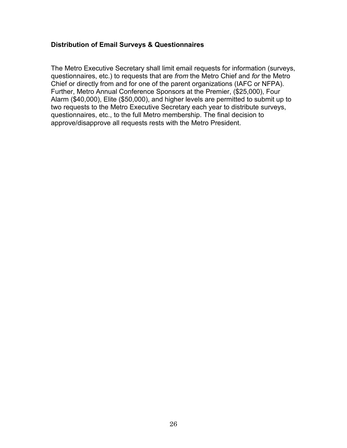# **Distribution of Email Surveys & Questionnaires**

The Metro Executive Secretary shall limit email requests for information (surveys, questionnaires, etc.) to requests that are *from* the Metro Chief and *for* the Metro Chief or directly from and for one of the parent organizations (IAFC or NFPA). Further, Metro Annual Conference Sponsors at the Premier, (\$25,000), Four Alarm (\$40,000), Elite (\$50,000), and higher levels are permitted to submit up to two requests to the Metro Executive Secretary each year to distribute surveys, questionnaires, etc., to the full Metro membership. The final decision to approve/disapprove all requests rests with the Metro President.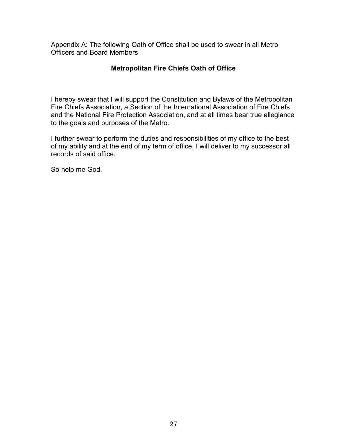Appendix A: The following Oath of Office shall be used to swear in all Metro Officers and Board Members

# **Metropolitan Fire Chiefs Oath of Office**

I hereby swear that I will support the Constitution and Bylaws of the Metropolitan Fire Chiefs Association, a Section of the International Association of Fire Chiefs and the National Fire Protection Association, and at all times bear true allegiance to the goals and purposes of the Metro.

I further swear to perform the duties and responsibilities of my office to the best of my ability and at the end of my term of office, I will deliver to my successor all records of said office.

So help me God.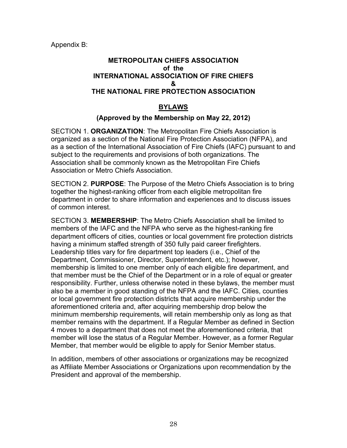Appendix B:

# **METROPOLITAN CHIEFS ASSOCIATION of the INTERNATIONAL ASSOCIATION OF FIRE CHIEFS & THE NATIONAL FIRE PROTECTION ASSOCIATION**

# **BYLAWS**

# **(Approved by the Membership on May 22, 2012)**

SECTION 1. **ORGANIZATION**: The Metropolitan Fire Chiefs Association is organized as a section of the National Fire Protection Association (NFPA), and as a section of the International Association of Fire Chiefs (IAFC) pursuant to and subject to the requirements and provisions of both organizations. The Association shall be commonly known as the Metropolitan Fire Chiefs Association or Metro Chiefs Association.

SECTION 2. **PURPOSE**: The Purpose of the Metro Chiefs Association is to bring together the highest-ranking officer from each eligible metropolitan fire department in order to share information and experiences and to discuss issues of common interest.

SECTION 3. **MEMBERSHIP**: The Metro Chiefs Association shall be limited to members of the IAFC and the NFPA who serve as the highest-ranking fire department officers of cities, counties or local government fire protection districts having a minimum staffed strength of 350 fully paid career firefighters. Leadership titles vary for fire department top leaders (i.e., Chief of the Department, Commissioner, Director, Superintendent, etc.); however, membership is limited to one member only of each eligible fire department, and that member must be the Chief of the Department or in a role of equal or greater responsibility. Further, unless otherwise noted in these bylaws, the member must also be a member in good standing of the NFPA and the IAFC. Cities, counties or local government fire protection districts that acquire membership under the aforementioned criteria and, after acquiring membership drop below the minimum membership requirements, will retain membership only as long as that member remains with the department. If a Regular Member as defined in Section 4 moves to a department that does not meet the aforementioned criteria, that member will lose the status of a Regular Member. However, as a former Regular Member, that member would be eligible to apply for Senior Member status.

In addition, members of other associations or organizations may be recognized as Affiliate Member Associations or Organizations upon recommendation by the President and approval of the membership.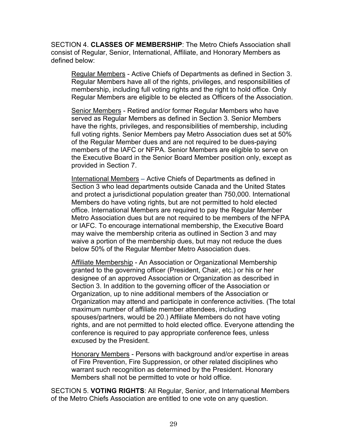SECTION 4. **CLASSES OF MEMBERSHIP**: The Metro Chiefs Association shall consist of Regular, Senior, International, Affiliate, and Honorary Members as defined below:

Regular Members - Active Chiefs of Departments as defined in Section 3. Regular Members have all of the rights, privileges, and responsibilities of membership, including full voting rights and the right to hold office. Only Regular Members are eligible to be elected as Officers of the Association.

Senior Members - Retired and/or former Regular Members who have served as Regular Members as defined in Section 3. Senior Members have the rights, privileges, and responsibilities of membership, including full voting rights. Senior Members pay Metro Association dues set at 50% of the Regular Member dues and are not required to be dues-paying members of the IAFC or NFPA. Senior Members are eligible to serve on the Executive Board in the Senior Board Member position only, except as provided in Section 7.

International Members – Active Chiefs of Departments as defined in Section 3 who lead departments outside Canada and the United States and protect a jurisdictional population greater than 750,000. International Members do have voting rights, but are not permitted to hold elected office. International Members are required to pay the Regular Member Metro Association dues but are not required to be members of the NFPA or IAFC. To encourage international membership, the Executive Board may waive the membership criteria as outlined in Section 3 and may waive a portion of the membership dues, but may not reduce the dues below 50% of the Regular Member Metro Association dues.

Affiliate Membership - An Association or Organizational Membership granted to the governing officer (President, Chair, etc.) or his or her designee of an approved Association or Organization as described in Section 3. In addition to the governing officer of the Association or Organization, up to nine additional members of the Association or Organization may attend and participate in conference activities. (The total maximum number of affiliate member attendees, including spouses/partners, would be 20.) Affiliate Members do not have voting rights, and are not permitted to hold elected office. Everyone attending the conference is required to pay appropriate conference fees, unless excused by the President.

Honorary Members - Persons with background and/or expertise in areas of Fire Prevention, Fire Suppression, or other related disciplines who warrant such recognition as determined by the President. Honorary Members shall not be permitted to vote or hold office.

SECTION 5. **VOTING RIGHTS**: All Regular, Senior, and International Members of the Metro Chiefs Association are entitled to one vote on any question.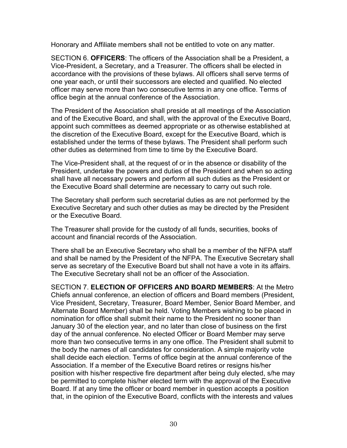Honorary and Affiliate members shall not be entitled to vote on any matter.

SECTION 6. **OFFICERS**: The officers of the Association shall be a President, a Vice-President, a Secretary, and a Treasurer. The officers shall be elected in accordance with the provisions of these bylaws. All officers shall serve terms of one year each, or until their successors are elected and qualified. No elected officer may serve more than two consecutive terms in any one office. Terms of office begin at the annual conference of the Association.

The President of the Association shall preside at all meetings of the Association and of the Executive Board, and shall, with the approval of the Executive Board, appoint such committees as deemed appropriate or as otherwise established at the discretion of the Executive Board, except for the Executive Board, which is established under the terms of these bylaws. The President shall perform such other duties as determined from time to time by the Executive Board.

The Vice-President shall, at the request of or in the absence or disability of the President, undertake the powers and duties of the President and when so acting shall have all necessary powers and perform all such duties as the President or the Executive Board shall determine are necessary to carry out such role.

The Secretary shall perform such secretarial duties as are not performed by the Executive Secretary and such other duties as may be directed by the President or the Executive Board.

The Treasurer shall provide for the custody of all funds, securities, books of account and financial records of the Association.

There shall be an Executive Secretary who shall be a member of the NFPA staff and shall be named by the President of the NFPA. The Executive Secretary shall serve as secretary of the Executive Board but shall not have a vote in its affairs. The Executive Secretary shall not be an officer of the Association.

SECTION 7. **ELECTION OF OFFICERS AND BOARD MEMBERS**: At the Metro Chiefs annual conference, an election of officers and Board members (President, Vice President, Secretary, Treasurer, Board Member, Senior Board Member, and Alternate Board Member) shall be held. Voting Members wishing to be placed in nomination for office shall submit their name to the President no sooner than January 30 of the election year, and no later than close of business on the first day of the annual conference. No elected Officer or Board Member may serve more than two consecutive terms in any one office. The President shall submit to the body the names of all candidates for consideration. A simple majority vote shall decide each election. Terms of office begin at the annual conference of the Association. If a member of the Executive Board retires or resigns his/her position with his/her respective fire department after being duly elected, s/he may be permitted to complete his/her elected term with the approval of the Executive Board. If at any time the officer or board member in question accepts a position that, in the opinion of the Executive Board, conflicts with the interests and values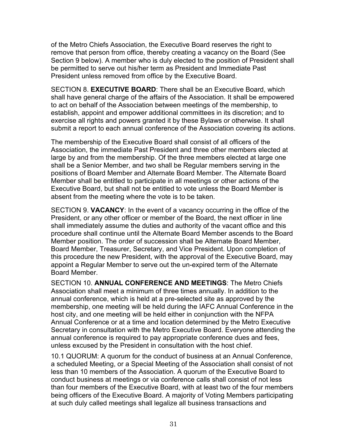of the Metro Chiefs Association, the Executive Board reserves the right to remove that person from office, thereby creating a vacancy on the Board (See Section 9 below). A member who is duly elected to the position of President shall be permitted to serve out his/her term as President and Immediate Past President unless removed from office by the Executive Board.

SECTION 8. **EXECUTIVE BOARD**: There shall be an Executive Board, which shall have general charge of the affairs of the Association. It shall be empowered to act on behalf of the Association between meetings of the membership, to establish, appoint and empower additional committees in its discretion; and to exercise all rights and powers granted it by these Bylaws or otherwise. It shall submit a report to each annual conference of the Association covering its actions.

The membership of the Executive Board shall consist of all officers of the Association, the immediate Past President and three other members elected at large by and from the membership. Of the three members elected at large one shall be a Senior Member, and two shall be Regular members serving in the positions of Board Member and Alternate Board Member. The Alternate Board Member shall be entitled to participate in all meetings or other actions of the Executive Board, but shall not be entitled to vote unless the Board Member is absent from the meeting where the vote is to be taken.

SECTION 9. **VACANCY**: In the event of a vacancy occurring in the office of the President, or any other officer or member of the Board, the next officer in line shall immediately assume the duties and authority of the vacant office and this procedure shall continue until the Alternate Board Member ascends to the Board Member position. The order of succession shall be Alternate Board Member, Board Member, Treasurer, Secretary, and Vice President. Upon completion of this procedure the new President, with the approval of the Executive Board, may appoint a Regular Member to serve out the un-expired term of the Alternate Board Member.

SECTION 10. **ANNUAL CONFERENCE AND MEETINGS**: The Metro Chiefs Association shall meet a minimum of three times annually. In addition to the annual conference, which is held at a pre-selected site as approved by the membership, one meeting will be held during the IAFC Annual Conference in the host city, and one meeting will be held either in conjunction with the NFPA Annual Conference or at a time and location determined by the Metro Executive Secretary in consultation with the Metro Executive Board. Everyone attending the annual conference is required to pay appropriate conference dues and fees, unless excused by the President in consultation with the host chief.

10.1 QUORUM: A quorum for the conduct of business at an Annual Conference, a scheduled Meeting, or a Special Meeting of the Association shall consist of not less than 10 members of the Association. A quorum of the Executive Board to conduct business at meetings or via conference calls shall consist of not less than four members of the Executive Board, with at least two of the four members being officers of the Executive Board. A majority of Voting Members participating at such duly called meetings shall legalize all business transactions and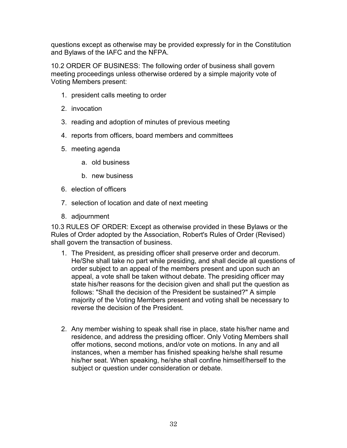questions except as otherwise may be provided expressly for in the Constitution and Bylaws of the IAFC and the NFPA.

10.2 ORDER OF BUSINESS: The following order of business shall govern meeting proceedings unless otherwise ordered by a simple majority vote of Voting Members present:

- 1. president calls meeting to order
- 2. invocation
- 3. reading and adoption of minutes of previous meeting
- 4. reports from officers, board members and committees
- 5. meeting agenda
	- a. old business
	- b. new business
- 6. election of officers
- 7. selection of location and date of next meeting
- 8. adjournment

10.3 RULES OF ORDER: Except as otherwise provided in these Bylaws or the Rules of Order adopted by the Association, Robert's Rules of Order (Revised) shall govern the transaction of business.

- 1. The President, as presiding officer shall preserve order and decorum. He/She shall take no part while presiding, and shall decide all questions of order subject to an appeal of the members present and upon such an appeal, a vote shall be taken without debate. The presiding officer may state his/her reasons for the decision given and shall put the question as follows: "Shall the decision of the President be sustained?" A simple majority of the Voting Members present and voting shall be necessary to reverse the decision of the President.
- 2. Any member wishing to speak shall rise in place, state his/her name and residence, and address the presiding officer. Only Voting Members shall offer motions, second motions, and/or vote on motions. In any and all instances, when a member has finished speaking he/she shall resume his/her seat. When speaking, he/she shall confine himself/herself to the subject or question under consideration or debate.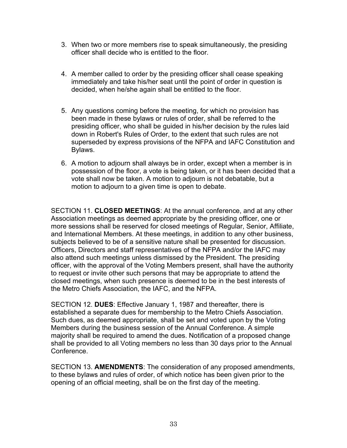- 3. When two or more members rise to speak simultaneously, the presiding officer shall decide who is entitled to the floor.
- 4. A member called to order by the presiding officer shall cease speaking immediately and take his/her seat until the point of order in question is decided, when he/she again shall be entitled to the floor.
- 5. Any questions coming before the meeting, for which no provision has been made in these bylaws or rules of order, shall be referred to the presiding officer, who shall be guided in his/her decision by the rules laid down in Robert's Rules of Order, to the extent that such rules are not superseded by express provisions of the NFPA and IAFC Constitution and Bylaws.
- 6. A motion to adjourn shall always be in order, except when a member is in possession of the floor, a vote is being taken, or it has been decided that a vote shall now be taken. A motion to adjourn is not debatable, but a motion to adjourn to a given time is open to debate.

SECTION 11. **CLOSED MEETINGS**: At the annual conference, and at any other Association meetings as deemed appropriate by the presiding officer, one or more sessions shall be reserved for closed meetings of Regular, Senior, Affiliate, and International Members. At these meetings, in addition to any other business, subjects believed to be of a sensitive nature shall be presented for discussion. Officers, Directors and staff representatives of the NFPA and/or the IAFC may also attend such meetings unless dismissed by the President. The presiding officer, with the approval of the Voting Members present, shall have the authority to request or invite other such persons that may be appropriate to attend the closed meetings, when such presence is deemed to be in the best interests of the Metro Chiefs Association, the IAFC, and the NFPA.

SECTION 12. **DUES**: Effective January 1, 1987 and thereafter, there is established a separate dues for membership to the Metro Chiefs Association. Such dues, as deemed appropriate, shall be set and voted upon by the Voting Members during the business session of the Annual Conference. A simple majority shall be required to amend the dues. Notification of a proposed change shall be provided to all Voting members no less than 30 days prior to the Annual **Conference** 

SECTION 13. **AMENDMENTS**: The consideration of any proposed amendments, to these bylaws and rules of order, of which notice has been given prior to the opening of an official meeting, shall be on the first day of the meeting.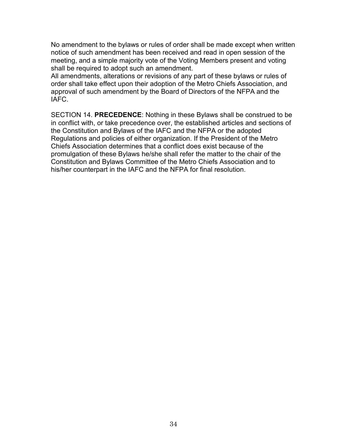No amendment to the bylaws or rules of order shall be made except when written notice of such amendment has been received and read in open session of the meeting, and a simple majority vote of the Voting Members present and voting shall be required to adopt such an amendment.

All amendments, alterations or revisions of any part of these bylaws or rules of order shall take effect upon their adoption of the Metro Chiefs Association, and approval of such amendment by the Board of Directors of the NFPA and the IAFC.

SECTION 14. **PRECEDENCE**: Nothing in these Bylaws shall be construed to be in conflict with, or take precedence over, the established articles and sections of the Constitution and Bylaws of the IAFC and the NFPA or the adopted Regulations and policies of either organization. If the President of the Metro Chiefs Association determines that a conflict does exist because of the promulgation of these Bylaws he/she shall refer the matter to the chair of the Constitution and Bylaws Committee of the Metro Chiefs Association and to his/her counterpart in the IAFC and the NFPA for final resolution.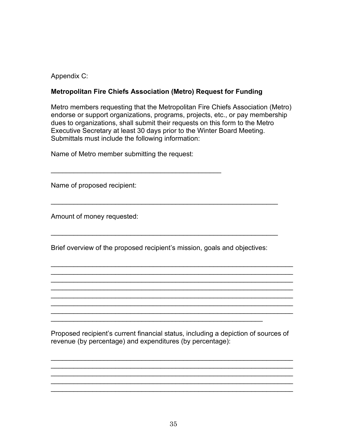Appendix C:

# **Metropolitan Fire Chiefs Association (Metro) Request for Funding**

Metro members requesting that the Metropolitan Fire Chiefs Association (Metro) endorse or support organizations, programs, projects, etc., or pay membership dues to organizations, shall submit their requests on this form to the Metro Executive Secretary at least 30 days prior to the Winter Board Meeting. Submittals must include the following information:

Name of Metro member submitting the request:

\_\_\_\_\_\_\_\_\_\_\_\_\_\_\_\_\_\_\_\_\_\_\_\_\_\_\_\_\_\_\_\_\_\_\_\_\_\_\_\_\_\_\_\_\_

Name of proposed recipient:

Amount of money requested:

Brief overview of the proposed recipient's mission, goals and objectives:

\_\_\_\_\_\_\_\_\_\_\_\_\_\_\_\_\_\_\_\_\_\_\_\_\_\_\_\_\_\_\_\_\_\_\_\_\_\_\_\_\_\_\_\_\_\_\_\_\_\_\_\_\_\_\_\_

\_\_\_\_\_\_\_\_\_\_\_\_\_\_\_\_\_\_\_\_\_\_\_\_\_\_\_\_\_\_\_\_\_\_\_\_\_\_\_\_\_\_\_\_\_\_\_\_\_\_\_\_\_\_\_\_\_\_\_\_

\_\_\_\_\_\_\_\_\_\_\_\_\_\_\_\_\_\_\_\_\_\_\_\_\_\_\_\_\_\_\_\_\_\_\_\_\_\_\_\_\_\_\_\_\_\_\_\_\_\_\_\_\_\_\_\_\_\_\_\_

\_\_\_\_\_\_\_\_\_\_\_\_\_\_\_\_\_\_\_\_\_\_\_\_\_\_\_\_\_\_\_\_\_\_\_\_\_\_\_\_\_\_\_\_\_\_\_\_\_\_\_\_\_\_\_\_\_\_\_\_\_\_\_\_ \_\_\_\_\_\_\_\_\_\_\_\_\_\_\_\_\_\_\_\_\_\_\_\_\_\_\_\_\_\_\_\_\_\_\_\_\_\_\_\_\_\_\_\_\_\_\_\_\_\_\_\_\_\_\_\_\_\_\_\_\_\_\_\_ \_\_\_\_\_\_\_\_\_\_\_\_\_\_\_\_\_\_\_\_\_\_\_\_\_\_\_\_\_\_\_\_\_\_\_\_\_\_\_\_\_\_\_\_\_\_\_\_\_\_\_\_\_\_\_\_\_\_\_\_\_\_\_\_ \_\_\_\_\_\_\_\_\_\_\_\_\_\_\_\_\_\_\_\_\_\_\_\_\_\_\_\_\_\_\_\_\_\_\_\_\_\_\_\_\_\_\_\_\_\_\_\_\_\_\_\_\_\_\_\_\_\_\_\_\_\_\_\_ \_\_\_\_\_\_\_\_\_\_\_\_\_\_\_\_\_\_\_\_\_\_\_\_\_\_\_\_\_\_\_\_\_\_\_\_\_\_\_\_\_\_\_\_\_\_\_\_\_\_\_\_\_\_\_\_\_\_\_\_\_\_\_\_ \_\_\_\_\_\_\_\_\_\_\_\_\_\_\_\_\_\_\_\_\_\_\_\_\_\_\_\_\_\_\_\_\_\_\_\_\_\_\_\_\_\_\_\_\_\_\_\_\_\_\_\_\_\_\_\_\_\_\_\_\_\_\_\_ \_\_\_\_\_\_\_\_\_\_\_\_\_\_\_\_\_\_\_\_\_\_\_\_\_\_\_\_\_\_\_\_\_\_\_\_\_\_\_\_\_\_\_\_\_\_\_\_\_\_\_\_\_\_\_\_\_\_\_\_\_\_\_\_

Proposed recipient's current financial status, including a depiction of sources of revenue (by percentage) and expenditures (by percentage):

\_\_\_\_\_\_\_\_\_\_\_\_\_\_\_\_\_\_\_\_\_\_\_\_\_\_\_\_\_\_\_\_\_\_\_\_\_\_\_\_\_\_\_\_\_\_\_\_\_\_\_\_\_\_\_\_\_\_\_\_\_\_\_\_ \_\_\_\_\_\_\_\_\_\_\_\_\_\_\_\_\_\_\_\_\_\_\_\_\_\_\_\_\_\_\_\_\_\_\_\_\_\_\_\_\_\_\_\_\_\_\_\_\_\_\_\_\_\_\_\_\_\_\_\_\_\_\_\_ \_\_\_\_\_\_\_\_\_\_\_\_\_\_\_\_\_\_\_\_\_\_\_\_\_\_\_\_\_\_\_\_\_\_\_\_\_\_\_\_\_\_\_\_\_\_\_\_\_\_\_\_\_\_\_\_\_\_\_\_\_\_\_\_ \_\_\_\_\_\_\_\_\_\_\_\_\_\_\_\_\_\_\_\_\_\_\_\_\_\_\_\_\_\_\_\_\_\_\_\_\_\_\_\_\_\_\_\_\_\_\_\_\_\_\_\_\_\_\_\_\_\_\_\_\_\_\_\_ \_\_\_\_\_\_\_\_\_\_\_\_\_\_\_\_\_\_\_\_\_\_\_\_\_\_\_\_\_\_\_\_\_\_\_\_\_\_\_\_\_\_\_\_\_\_\_\_\_\_\_\_\_\_\_\_\_\_\_\_\_\_\_\_